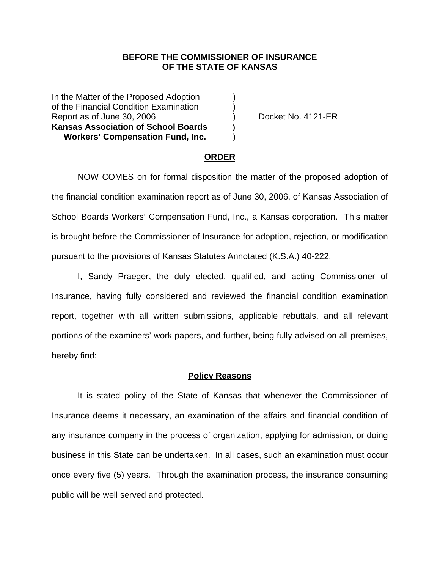# **BEFORE THE COMMISSIONER OF INSURANCE OF THE STATE OF KANSAS**

In the Matter of the Proposed Adoption (1) of the Financial Condition Examination ) Report as of June 30, 2006 (a) (b) Docket No. 4121-ER **Kansas Association of School Boards ) Workers' Compensation Fund, Inc.** )

### **ORDER**

 NOW COMES on for formal disposition the matter of the proposed adoption of the financial condition examination report as of June 30, 2006, of Kansas Association of School Boards Workers' Compensation Fund, Inc., a Kansas corporation. This matter is brought before the Commissioner of Insurance for adoption, rejection, or modification pursuant to the provisions of Kansas Statutes Annotated (K.S.A.) 40-222.

 I, Sandy Praeger, the duly elected, qualified, and acting Commissioner of Insurance, having fully considered and reviewed the financial condition examination report, together with all written submissions, applicable rebuttals, and all relevant portions of the examiners' work papers, and further, being fully advised on all premises, hereby find:

#### **Policy Reasons**

 It is stated policy of the State of Kansas that whenever the Commissioner of Insurance deems it necessary, an examination of the affairs and financial condition of any insurance company in the process of organization, applying for admission, or doing business in this State can be undertaken. In all cases, such an examination must occur once every five (5) years. Through the examination process, the insurance consuming public will be well served and protected.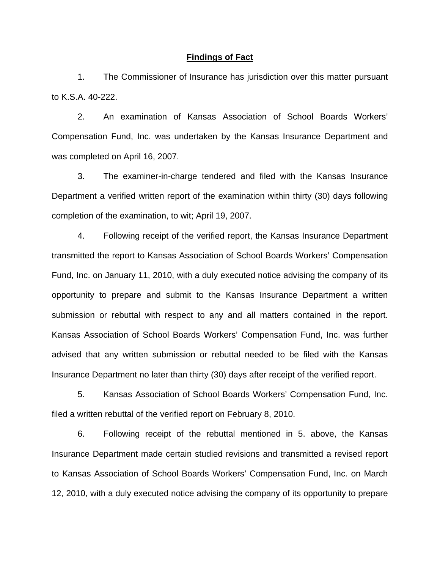#### **Findings of Fact**

 1. The Commissioner of Insurance has jurisdiction over this matter pursuant to K.S.A. 40-222.

 2. An examination of Kansas Association of School Boards Workers' Compensation Fund, Inc. was undertaken by the Kansas Insurance Department and was completed on April 16, 2007.

 3. The examiner-in-charge tendered and filed with the Kansas Insurance Department a verified written report of the examination within thirty (30) days following completion of the examination, to wit; April 19, 2007.

 4. Following receipt of the verified report, the Kansas Insurance Department transmitted the report to Kansas Association of School Boards Workers' Compensation Fund, Inc. on January 11, 2010, with a duly executed notice advising the company of its opportunity to prepare and submit to the Kansas Insurance Department a written submission or rebuttal with respect to any and all matters contained in the report. Kansas Association of School Boards Workers' Compensation Fund, Inc. was further advised that any written submission or rebuttal needed to be filed with the Kansas Insurance Department no later than thirty (30) days after receipt of the verified report.

 5. Kansas Association of School Boards Workers' Compensation Fund, Inc. filed a written rebuttal of the verified report on February 8, 2010.

 6. Following receipt of the rebuttal mentioned in 5. above, the Kansas Insurance Department made certain studied revisions and transmitted a revised report to Kansas Association of School Boards Workers' Compensation Fund, Inc. on March 12, 2010, with a duly executed notice advising the company of its opportunity to prepare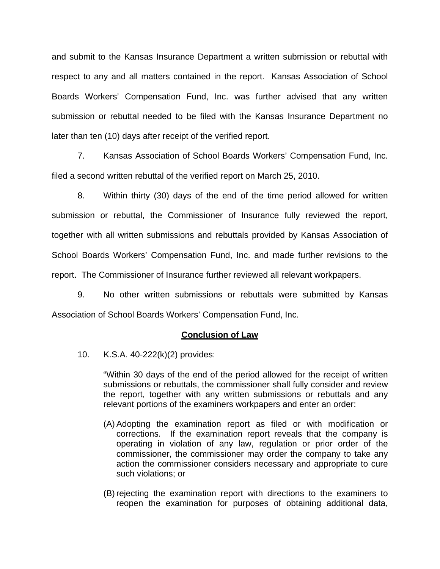and submit to the Kansas Insurance Department a written submission or rebuttal with respect to any and all matters contained in the report. Kansas Association of School Boards Workers' Compensation Fund, Inc. was further advised that any written submission or rebuttal needed to be filed with the Kansas Insurance Department no later than ten (10) days after receipt of the verified report.

 7. Kansas Association of School Boards Workers' Compensation Fund, Inc. filed a second written rebuttal of the verified report on March 25, 2010.

 8. Within thirty (30) days of the end of the time period allowed for written submission or rebuttal, the Commissioner of Insurance fully reviewed the report, together with all written submissions and rebuttals provided by Kansas Association of School Boards Workers' Compensation Fund, Inc. and made further revisions to the report. The Commissioner of Insurance further reviewed all relevant workpapers.

 9. No other written submissions or rebuttals were submitted by Kansas Association of School Boards Workers' Compensation Fund, Inc.

## **Conclusion of Law**

10. K.S.A. 40-222(k)(2) provides:

"Within 30 days of the end of the period allowed for the receipt of written submissions or rebuttals, the commissioner shall fully consider and review the report, together with any written submissions or rebuttals and any relevant portions of the examiners workpapers and enter an order:

- (A) Adopting the examination report as filed or with modification or corrections. If the examination report reveals that the company is operating in violation of any law, regulation or prior order of the commissioner, the commissioner may order the company to take any action the commissioner considers necessary and appropriate to cure such violations; or
- (B) rejecting the examination report with directions to the examiners to reopen the examination for purposes of obtaining additional data,